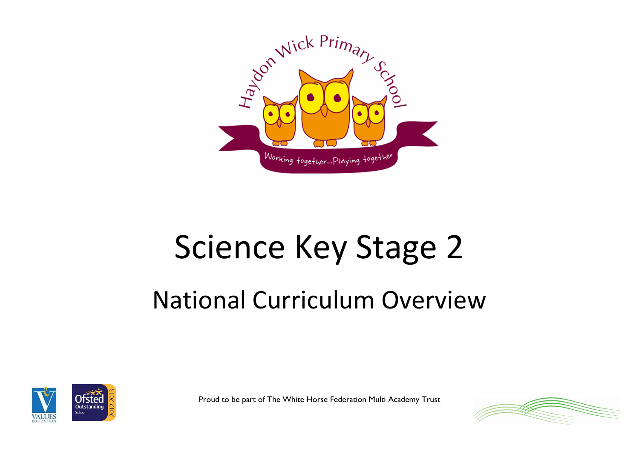

## Science Key Stage 2

## National Curriculum Overview



Proud to be part of The White Horse Federation Multi Academy Trust

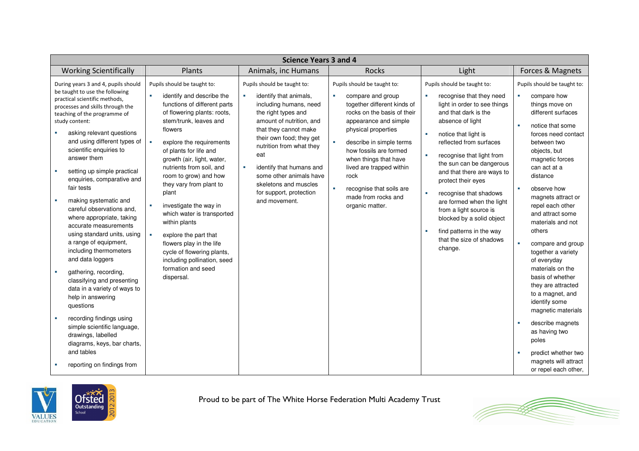| <b>Science Years 3 and 4</b>                                                                                                                                                                                                                                                                                                                                                                                                                                                                                                                                                                                                                                                                                                                                                                                                                                                                              |                                                                                                                                                                                                                                                                                                                                                                                                                                                                                                                                                                                              |                                                                                                                                                                                                                                                                                                                                                             |                                                                                                                                                                                                                                                                                                                                                                                             |                                                                                                                                                                                                                                                                                                                                                                                                                                                                                                                                 |                                                                                                                                                                                                                                                                                                                                                                                                                                                                                                                                                                                                                                 |  |
|-----------------------------------------------------------------------------------------------------------------------------------------------------------------------------------------------------------------------------------------------------------------------------------------------------------------------------------------------------------------------------------------------------------------------------------------------------------------------------------------------------------------------------------------------------------------------------------------------------------------------------------------------------------------------------------------------------------------------------------------------------------------------------------------------------------------------------------------------------------------------------------------------------------|----------------------------------------------------------------------------------------------------------------------------------------------------------------------------------------------------------------------------------------------------------------------------------------------------------------------------------------------------------------------------------------------------------------------------------------------------------------------------------------------------------------------------------------------------------------------------------------------|-------------------------------------------------------------------------------------------------------------------------------------------------------------------------------------------------------------------------------------------------------------------------------------------------------------------------------------------------------------|---------------------------------------------------------------------------------------------------------------------------------------------------------------------------------------------------------------------------------------------------------------------------------------------------------------------------------------------------------------------------------------------|---------------------------------------------------------------------------------------------------------------------------------------------------------------------------------------------------------------------------------------------------------------------------------------------------------------------------------------------------------------------------------------------------------------------------------------------------------------------------------------------------------------------------------|---------------------------------------------------------------------------------------------------------------------------------------------------------------------------------------------------------------------------------------------------------------------------------------------------------------------------------------------------------------------------------------------------------------------------------------------------------------------------------------------------------------------------------------------------------------------------------------------------------------------------------|--|
| <b>Working Scientifically</b>                                                                                                                                                                                                                                                                                                                                                                                                                                                                                                                                                                                                                                                                                                                                                                                                                                                                             | Plants                                                                                                                                                                                                                                                                                                                                                                                                                                                                                                                                                                                       | Animals, inc Humans                                                                                                                                                                                                                                                                                                                                         | <b>Rocks</b>                                                                                                                                                                                                                                                                                                                                                                                | Light                                                                                                                                                                                                                                                                                                                                                                                                                                                                                                                           | Forces & Magnets                                                                                                                                                                                                                                                                                                                                                                                                                                                                                                                                                                                                                |  |
| During years 3 and 4, pupils should<br>be taught to use the following<br>practical scientific methods,<br>processes and skills through the<br>teaching of the programme of<br>study content:<br>asking relevant questions<br>and using different types of<br>scientific enquiries to<br>answer them<br>setting up simple practical<br>×<br>enquiries, comparative and<br>fair tests<br>making systematic and<br>×<br>careful observations and.<br>where appropriate, taking<br>accurate measurements<br>using standard units, using<br>a range of equipment,<br>including thermometers<br>and data loggers<br>gathering, recording,<br>×<br>classifying and presenting<br>data in a variety of ways to<br>help in answering<br>questions<br>recording findings using<br>×<br>simple scientific language,<br>drawings, labelled<br>diagrams, keys, bar charts,<br>and tables<br>reporting on findings from | Pupils should be taught to:<br>identify and describe the<br>functions of different parts<br>of flowering plants: roots,<br>stem/trunk, leaves and<br>flowers<br>×.<br>explore the requirements<br>of plants for life and<br>growth (air, light, water,<br>nutrients from soil, and<br>room to grow) and how<br>they vary from plant to<br>plant<br>investigate the way in<br>which water is transported<br>within plants<br>explore the part that<br><b>COL</b><br>flowers play in the life<br>cycle of flowering plants,<br>including pollination, seed<br>formation and seed<br>dispersal. | Pupils should be taught to:<br>identify that animals,<br>including humans, need<br>the right types and<br>amount of nutrition, and<br>that they cannot make<br>their own food; they get<br>nutrition from what they<br>eat<br>identify that humans and<br>×<br>some other animals have<br>skeletons and muscles<br>for support, protection<br>and movement. | Pupils should be taught to:<br>compare and group<br>together different kinds of<br>rocks on the basis of their<br>appearance and simple<br>physical properties<br>$\mathcal{L}_{\mathcal{A}}$<br>describe in simple terms<br>how fossils are formed<br>when things that have<br>lived are trapped within<br>rock<br>recognise that soils are<br>×<br>made from rocks and<br>organic matter. | Pupils should be taught to:<br>recognise that they need<br>×<br>light in order to see things<br>and that dark is the<br>absence of light<br>notice that light is<br><b>COL</b><br>reflected from surfaces<br><b>COL</b><br>recognise that light from<br>the sun can be dangerous<br>and that there are ways to<br>protect their eyes<br>×<br>recognise that shadows<br>are formed when the light<br>from a light source is<br>blocked by a solid object<br>find patterns in the way<br>×<br>that the size of shadows<br>change. | Pupils should be taught to:<br>compare how<br>things move on<br>different surfaces<br>notice that some<br>forces need contact<br>between two<br>objects, but<br>magnetic forces<br>can act at a<br>distance<br>observe how<br>magnets attract or<br>repel each other<br>and attract some<br>materials and not<br>others<br>compare and group<br>together a variety<br>of everyday<br>materials on the<br>basis of whether<br>they are attracted<br>to a magnet, and<br>identify some<br>magnetic materials<br>describe magnets<br>as having two<br>poles<br>predict whether two<br>magnets will attract<br>or repel each other, |  |



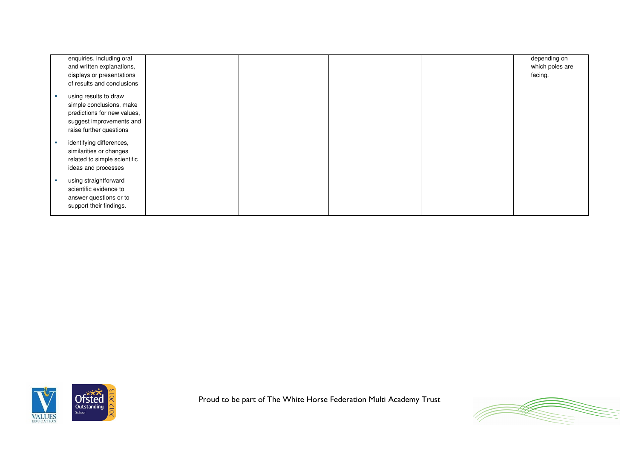| enquiries, including oral<br>and written explanations,<br>displays or presentations<br>of results and conclusions                       |  |  | depending on<br>which poles are<br>facing. |
|-----------------------------------------------------------------------------------------------------------------------------------------|--|--|--------------------------------------------|
| using results to draw<br>simple conclusions, make<br>predictions for new values,<br>suggest improvements and<br>raise further questions |  |  |                                            |
| identifying differences,<br>similarities or changes<br>related to simple scientific<br>ideas and processes                              |  |  |                                            |
| using straightforward<br>scientific evidence to<br>answer questions or to<br>support their findings.                                    |  |  |                                            |



Proud to be part of The White Horse Federation Multi Academy Trust

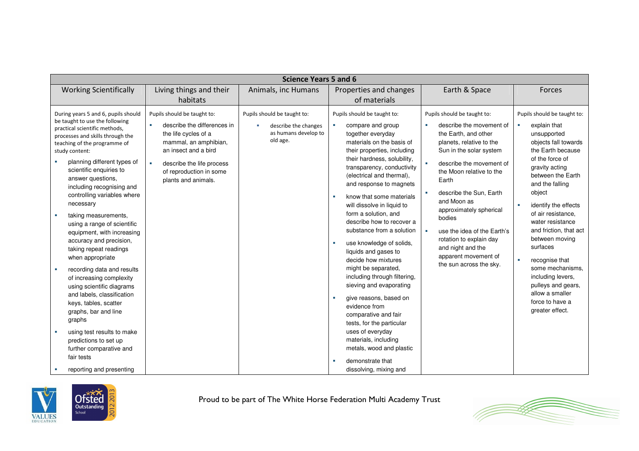| <b>Science Years 5 and 6</b>                                                                                                                                                                                                                                                                                                                                                                                                                                                                                                                                                                                                                                                                                                                                                                       |                                                                                                                                                                                                                          |                                                                                         |                                                                                                                                                                                                                                                                                                                                                                                                                                                                                                                                                                                                                                                                                                                                                                            |                                                                                                                                                                                                                                                                                                                                                                                                                                                           |                                                                                                                                                                                                                                                                                                                                                                                                                                                                    |  |  |
|----------------------------------------------------------------------------------------------------------------------------------------------------------------------------------------------------------------------------------------------------------------------------------------------------------------------------------------------------------------------------------------------------------------------------------------------------------------------------------------------------------------------------------------------------------------------------------------------------------------------------------------------------------------------------------------------------------------------------------------------------------------------------------------------------|--------------------------------------------------------------------------------------------------------------------------------------------------------------------------------------------------------------------------|-----------------------------------------------------------------------------------------|----------------------------------------------------------------------------------------------------------------------------------------------------------------------------------------------------------------------------------------------------------------------------------------------------------------------------------------------------------------------------------------------------------------------------------------------------------------------------------------------------------------------------------------------------------------------------------------------------------------------------------------------------------------------------------------------------------------------------------------------------------------------------|-----------------------------------------------------------------------------------------------------------------------------------------------------------------------------------------------------------------------------------------------------------------------------------------------------------------------------------------------------------------------------------------------------------------------------------------------------------|--------------------------------------------------------------------------------------------------------------------------------------------------------------------------------------------------------------------------------------------------------------------------------------------------------------------------------------------------------------------------------------------------------------------------------------------------------------------|--|--|
| <b>Working Scientifically</b>                                                                                                                                                                                                                                                                                                                                                                                                                                                                                                                                                                                                                                                                                                                                                                      | Living things and their<br>habitats                                                                                                                                                                                      | Animals, inc Humans                                                                     | Properties and changes<br>of materials                                                                                                                                                                                                                                                                                                                                                                                                                                                                                                                                                                                                                                                                                                                                     | Earth & Space                                                                                                                                                                                                                                                                                                                                                                                                                                             | Forces                                                                                                                                                                                                                                                                                                                                                                                                                                                             |  |  |
| During years 5 and 6, pupils should<br>be taught to use the following<br>practical scientific methods,<br>processes and skills through the<br>teaching of the programme of<br>study content:<br>planning different types of<br>scientific enquiries to<br>answer questions,<br>including recognising and<br>controlling variables where<br>necessary<br>taking measurements,<br>using a range of scientific<br>equipment, with increasing<br>accuracy and precision,<br>taking repeat readings<br>when appropriate<br>recording data and results<br>of increasing complexity<br>using scientific diagrams<br>and labels, classification<br>keys, tables, scatter<br>graphs, bar and line<br>graphs<br>using test results to make<br>predictions to set up<br>further comparative and<br>fair tests | Pupils should be taught to:<br>describe the differences in<br>the life cycles of a<br>mammal, an amphibian,<br>an insect and a bird<br>describe the life process<br>н.<br>of reproduction in some<br>plants and animals. | Pupils should be taught to:<br>describe the changes<br>as humans develop to<br>old age. | Pupils should be taught to:<br>×<br>compare and group<br>together everyday<br>materials on the basis of<br>their properties, including<br>their hardness, solubility,<br>transparency, conductivity<br>(electrical and thermal),<br>and response to magnets<br>know that some materials<br>×<br>will dissolve in liquid to<br>form a solution, and<br>describe how to recover a<br>substance from a solution<br>use knowledge of solids,<br>liquids and gases to<br>decide how mixtures<br>might be separated,<br>including through filtering,<br>sieving and evaporating<br>give reasons, based on<br>×<br>evidence from<br>comparative and fair<br>tests, for the particular<br>uses of everyday<br>materials, including<br>metals, wood and plastic<br>demonstrate that | Pupils should be taught to:<br>describe the movement of<br>×.<br>the Earth, and other<br>planets, relative to the<br>Sun in the solar system<br>$\mathbf{r}$<br>describe the movement of<br>the Moon relative to the<br>Earth<br>describe the Sun, Earth<br>×.<br>and Moon as<br>approximately spherical<br>bodies<br>use the idea of the Earth's<br>×<br>rotation to explain day<br>and night and the<br>apparent movement of<br>the sun across the sky. | Pupils should be taught to:<br>explain that<br>unsupported<br>objects fall towards<br>the Earth because<br>of the force of<br>gravity acting<br>between the Earth<br>and the falling<br>object<br>identify the effects<br>of air resistance,<br>water resistance<br>and friction, that act<br>between moving<br>surfaces<br>recognise that<br>some mechanisms.<br>including levers,<br>pulleys and gears,<br>allow a smaller<br>force to have a<br>greater effect. |  |  |
| reporting and presenting                                                                                                                                                                                                                                                                                                                                                                                                                                                                                                                                                                                                                                                                                                                                                                           |                                                                                                                                                                                                                          |                                                                                         | dissolving, mixing and                                                                                                                                                                                                                                                                                                                                                                                                                                                                                                                                                                                                                                                                                                                                                     |                                                                                                                                                                                                                                                                                                                                                                                                                                                           |                                                                                                                                                                                                                                                                                                                                                                                                                                                                    |  |  |



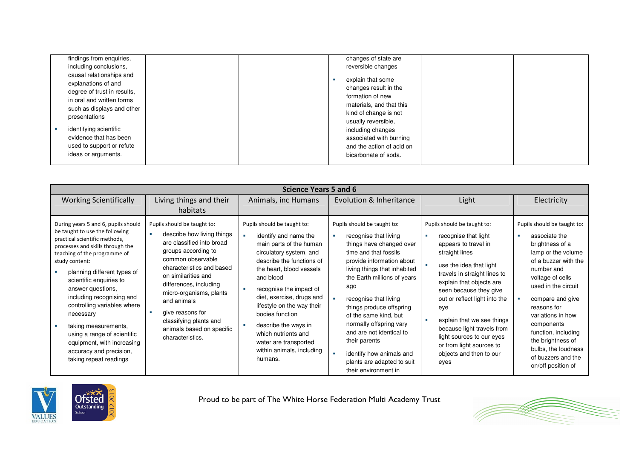| findings from enquiries,                                                                                                                                                                                                                                           |  | changes of state are                                                                                                                                                                                                                            |  |
|--------------------------------------------------------------------------------------------------------------------------------------------------------------------------------------------------------------------------------------------------------------------|--|-------------------------------------------------------------------------------------------------------------------------------------------------------------------------------------------------------------------------------------------------|--|
| including conclusions,                                                                                                                                                                                                                                             |  | reversible changes                                                                                                                                                                                                                              |  |
| causal relationships and<br>explanations of and<br>degree of trust in results,<br>in oral and written forms<br>such as displays and other<br>presentations<br>identifying scientific<br>evidence that has been<br>used to support or refute<br>ideas or arguments. |  | explain that some<br>changes result in the<br>formation of new<br>materials, and that this<br>kind of change is not<br>usually reversible,<br>including changes<br>associated with burning<br>and the action of acid on<br>bicarbonate of soda. |  |

| <b>Science Years 5 and 6</b>                                                                                                                                                                                                                                                                                                                                                                                                                                                                   |                                                                                                                                                                                                                                                                                                                                                           |                                                                                                                                                                                                                                                                                                                                                                                                           |                                                                                                                                                                                                                                                                                                                                                                                                                                                      |                                                                                                                                                                                                                                                                                                                                                                                                                |                                                                                                                                                                                                                                                                                                                                                             |  |  |
|------------------------------------------------------------------------------------------------------------------------------------------------------------------------------------------------------------------------------------------------------------------------------------------------------------------------------------------------------------------------------------------------------------------------------------------------------------------------------------------------|-----------------------------------------------------------------------------------------------------------------------------------------------------------------------------------------------------------------------------------------------------------------------------------------------------------------------------------------------------------|-----------------------------------------------------------------------------------------------------------------------------------------------------------------------------------------------------------------------------------------------------------------------------------------------------------------------------------------------------------------------------------------------------------|------------------------------------------------------------------------------------------------------------------------------------------------------------------------------------------------------------------------------------------------------------------------------------------------------------------------------------------------------------------------------------------------------------------------------------------------------|----------------------------------------------------------------------------------------------------------------------------------------------------------------------------------------------------------------------------------------------------------------------------------------------------------------------------------------------------------------------------------------------------------------|-------------------------------------------------------------------------------------------------------------------------------------------------------------------------------------------------------------------------------------------------------------------------------------------------------------------------------------------------------------|--|--|
| <b>Working Scientifically</b>                                                                                                                                                                                                                                                                                                                                                                                                                                                                  | Living things and their<br>habitats                                                                                                                                                                                                                                                                                                                       | Animals, inc Humans                                                                                                                                                                                                                                                                                                                                                                                       | Evolution & Inheritance                                                                                                                                                                                                                                                                                                                                                                                                                              | Light                                                                                                                                                                                                                                                                                                                                                                                                          | Electricity                                                                                                                                                                                                                                                                                                                                                 |  |  |
| During years 5 and 6, pupils should<br>be taught to use the following<br>practical scientific methods,<br>processes and skills through the<br>teaching of the programme of<br>study content:<br>planning different types of<br>scientific enquiries to<br>answer questions,<br>including recognising and<br>controlling variables where<br>necessary<br>taking measurements,<br>using a range of scientific<br>equipment, with increasing<br>accuracy and precision,<br>taking repeat readings | Pupils should be taught to:<br>describe how living things<br>are classified into broad<br>groups according to<br>common observable<br>characteristics and based<br>on similarities and<br>differences, including<br>micro-organisms, plants<br>and animals<br>give reasons for<br>classifying plants and<br>animals based on specific<br>characteristics. | Pupils should be taught to:<br>identify and name the<br>main parts of the human<br>circulatory system, and<br>describe the functions of<br>the heart, blood vessels<br>and blood<br>recognise the impact of<br>diet, exercise, drugs and<br>lifestyle on the way their<br>bodies function<br>describe the ways in<br>which nutrients and<br>water are transported<br>within animals, including<br>humans. | Pupils should be taught to:<br>recognise that living<br>things have changed over<br>time and that fossils<br>provide information about<br>living things that inhabited<br>the Earth millions of years<br>ago<br>recognise that living<br>things produce offspring<br>of the same kind, but<br>normally offspring vary<br>and are not identical to<br>their parents<br>identify how animals and<br>plants are adapted to suit<br>their environment in | Pupils should be taught to:<br>recognise that light<br>appears to travel in<br>straight lines<br>use the idea that light<br>travels in straight lines to<br>explain that objects are<br>seen because they give<br>out or reflect light into the<br>eye<br>explain that we see things<br>because light travels from<br>light sources to our eyes<br>or from light sources to<br>objects and then to our<br>eyes | Pupils should be taught to:<br>associate the<br>brightness of a<br>lamp or the volume<br>of a buzzer with the<br>number and<br>voltage of cells<br>used in the circuit<br>compare and give<br>reasons for<br>variations in how<br>components<br>function, including<br>the brightness of<br>bulbs, the loudness<br>of buzzers and the<br>on/off position of |  |  |



Proud to be part of The White Horse Federation Multi Academy Trust